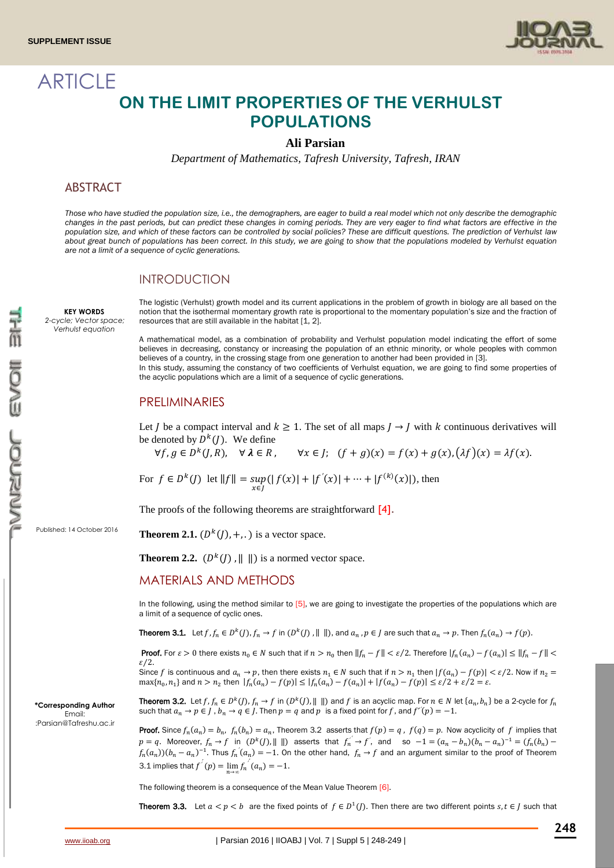**ARTICLE** 



# **ON THE LIMIT PROPERTIES OF THE VERHULST POPULATIONS**

## **Ali Parsian**

*Department of Mathematics, Tafresh University, Tafresh, IRAN*

# **ABSTRACT**

*Those who have studied the population size, i.e., the demographers, are eager to build a real model which not only describe the demographic changes in the past periods, but can predict these changes in coming periods. They are very eager to find what factors are effective in the population size, and which of these factors can be controlled by social policies? These are difficult questions. The prediction of Verhulst law about great bunch of populations has been correct. In this study, we are going to show that the populations modeled by Verhulst equation are not a limit of a sequence of cyclic generations.*

#### INTRODUCTION

**KEY WORDS** *2-cycle; Vector space; Verhulst equation*

The logistic (Verhulst) growth model and its current applications in the problem of growth in biology are all based on the notion that the isothermal momentary growth rate is proportional to the momentary population's size and the fraction of resources that are still available in the habitat [1, 2].

A mathematical model, as a combination of probability and Verhulst population model indicating the effort of some believes in decreasing, constancy or increasing the population of an ethnic minority, or whole peoples with common believes of a country, in the crossing stage from one generation to another had been provided in [3]. In this study, assuming the constancy of two coefficients of Verhulst equation, we are going to find some properties of the acyclic populations which are a limit of a sequence of cyclic generations.

# PRELIMINARIES

Let *I* be a compact interval and  $k \ge 1$ . The set of all maps  $J \rightarrow J$  with k continuous derivatives will be denoted by  $D^{k}(J)$ . We define

∀ $f, g \in D^k$  $\forall x \in J;$   $(f + g)(x) = f(x) + g(x), (\lambda f)(x) = \lambda f(x).$ 

For 
$$
f \in D^k(J)
$$
 let  $||f|| = \sup_{x \in J} (|f(x)| + |f'(x)| + \dots + |f^{(k)}(x)|)$ , then

The proofs of the following theorems are straightforward [4].

Published: 14 October 2016

**Theorem 2.1.**  $(D<sup>k</sup>(J), +, .$  ) is a vector space.

**Theorem 2.2.**  $(D<sup>k</sup>(J)$ ,  $|| \cdot ||)$  is a normed vector space.

## MATERIALS AND METHODS

In the following, using the method similar to  $[5]$ , we are going to investigate the properties of the populations which are a limit of a sequence of cyclic ones.

**Theorem 3.1.** Let  $f, f_n \in D^k(J)$ ,  $f_n \to f$  in  $(D^k(J), || ||)$ , and  $a_n, p \in J$  are such that  $a_n \to p$ . Then  $f_n(a_n) \to f(p)$ .

**Proof.** For  $\varepsilon > 0$  there exists  $n_0 \in N$  such that if  $n > n_0$  then  $||f_n - f|| < \varepsilon/2$ . Therefore  $|f_n(a_n) - f(a_n)| \le ||f_n - f|| < \varepsilon$  $\epsilon/2$ .

Since f is continuous and  $a_n \to p$ , then there exists  $n_1 \in N$  such that if  $n > n_1$  then  $|f(a_n) - f(p)| < \varepsilon/2$ . Now if  $n_2 =$  $\max\{n_0, n_1\}$  and  $n > n_2$  then  $|f_n(a_n) - f(p)| \le |f_n(a_n) - f(a_n)| + |f(a_n) - f(p)| \le \varepsilon/2 + \varepsilon/2 = \varepsilon$ .

**Theorem 3.2.** Let  $f, f_n \in D^k(J), f_n \to f$  in  $(D^k(J), \| \|)$  and  $f$  is an acyclic map. For  $n \in N$  let  $\{a_n, b_n\}$  be a 2-cycle for  $f_n$ such that  $a_n \to p \in J$  ,  $b_n \to q \in J$ . Then  $p = q$  and  $p$  is a fixed point for  $f$ , and  $f'(p) = -1$ . *′*

**Proof.** Since  $f_n(a_n) = b_n$ ,  $f_n(b_n) = a_n$ , Theorem 3.2 asserts that  $f(p) = q$ ,  $f(q) = p$ . Now acyclicity of f implies that  $p = q$ . Moreover,  $f_n \to f$  in  $(D^k(f), || ||)$  asserts that  $f'_n \to f'$ , and so  $-1 = (a_n - b_n)(b_n - a_n)^{-1} = (f_n(b_n) - b_n)^{-1}$ *′*  $(f_n(a_n))(b_n-a_n)^{-1}$ . Thus  $f_n(a_n)=-1$ . On the other hand,  $f_n \to f$  and an argument similar to the proof of Theorem *′* 3.1 implies that  $f^{'}(p) = \lim_{n \to \infty} f_n^{'}(a_n) = -1$ . *′ ′*

The following theorem is a consequence of the Mean Value Theorem [6].

**Theorem 3.3.** Let  $a < p < b$  are the fixed points of  $f \in D^1(J)$ . Then there are two different points  $s, t \in J$  such that

**\*Corresponding Author** Email: [:Parsian@Tafreshu.ac.ir](mailto:Parsian@Tafreshu.ac.ir)